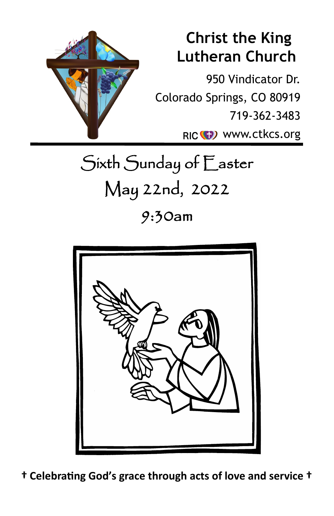

# **Christ the King Lutheran Church**

950 Vindicator Dr. Colorado Springs, CO 80919 719-362-3483 RIC<sup>(1)</sup> www.ctkcs.org

Sixth Sunday of Easter May 22nd, 2022

9:30am



**† Celebrating God's grace through acts of love and service †**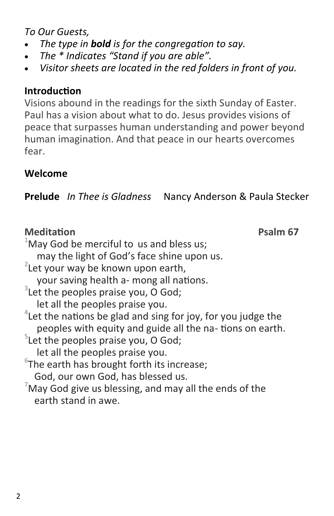*To Our Guests,*

- *The type in bold is for the congregation to say.*
- *The \* Indicates "Stand if you are able".*
- *Visitor sheets are located in the red folders in front of you.*

# **Introduction**

Visions abound in the readings for the sixth Sunday of Easter. Paul has a vision about what to do. Jesus provides visions of peace that surpasses human understanding and power beyond human imagination. And that peace in our hearts overcomes fear.

# **Welcome**

**Prelude** *In Thee is Gladness* Nancy Anderson & Paula Stecker

# **Meditation Psalm 67**

 $1$ May God be merciful to us and bless us; may the light of God's face shine upon us.  $2$ Let your way be known upon earth, your saving health a- mong all nations.  $3$ Let the peoples praise you, O God; let all the peoples praise you.  $4$ Let the nations be glad and sing for joy, for you judge the peoples with equity and guide all the na- tions on earth.  $5$ Let the peoples praise you, O God; let all the peoples praise you.  $6$ The earth has brought forth its increase; God, our own God, has blessed us.  $7$ May God give us blessing, and may all the ends of the earth stand in awe.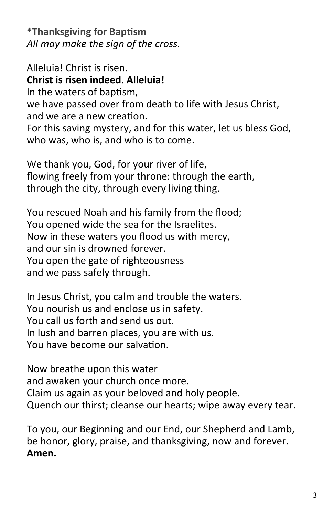**\*Thanksgiving for Baptism** *All may make the sign of the cross.*

Alleluia! Christ is risen. **Christ is risen indeed. Alleluia!** In the waters of baptism, we have passed over from death to life with Jesus Christ, and we are a new creation. For this saving mystery, and for this water, let us bless God, who was, who is, and who is to come.

We thank you, God, for your river of life, flowing freely from your throne: through the earth, through the city, through every living thing.

You rescued Noah and his family from the flood; You opened wide the sea for the Israelites. Now in these waters you flood us with mercy, and our sin is drowned forever. You open the gate of righteousness and we pass safely through.

In Jesus Christ, you calm and trouble the waters. You nourish us and enclose us in safety. You call us forth and send us out. In lush and barren places, you are with us. You have become our salvation.

Now breathe upon this water and awaken your church once more. Claim us again as your beloved and holy people. Quench our thirst; cleanse our hearts; wipe away every tear.

To you, our Beginning and our End, our Shepherd and Lamb, be honor, glory, praise, and thanksgiving, now and forever. **Amen.**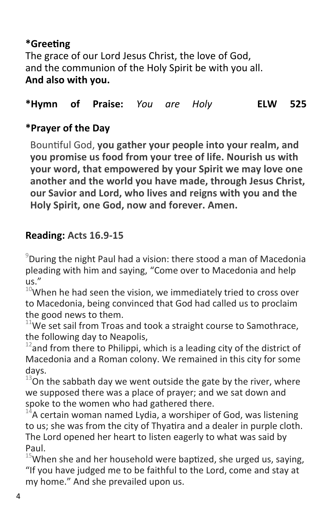# **\*Greeting** The grace of our Lord Jesus Christ, the love of God, and the communion of the Holy Spirit be with you all. **And also with you.**

### **\*Hymn of Praise:** *You are Holy* **ELW 525**

# **\*Prayer of the Day**

Bountiful God, **you gather your people into your realm, and you promise us food from your tree of life. Nourish us with your word, that empowered by your Spirit we may love one another and the world you have made, through Jesus Christ, our Savior and Lord, who lives and reigns with you and the Holy Spirit, one God, now and forever. Amen.**

# **Reading: Acts 16.9-15**

 $^9$ During the night Paul had a vision: there stood a man of Macedonia pleading with him and saying, "Come over to Macedonia and help  $\overline{u}$ s."

 $10$ When he had seen the vision, we immediately tried to cross over to Macedonia, being convinced that God had called us to proclaim the good news to them.

 $11$ We set sail from Troas and took a straight course to Samothrace, the following day to Neapolis,

 $12$  and from there to Philippi, which is a leading city of the district of Macedonia and a Roman colony. We remained in this city for some days.

 $13$ On the sabbath day we went outside the gate by the river, where we supposed there was a place of prayer; and we sat down and spoke to the women who had gathered there.

 $14$ A certain woman named Lydia, a worshiper of God, was listening to us; she was from the city of Thyatira and a dealer in purple cloth. The Lord opened her heart to listen eagerly to what was said by Paul.

 $15$ When she and her household were baptized, she urged us, saying, "If you have judged me to be faithful to the Lord, come and stay at my home." And she prevailed upon us.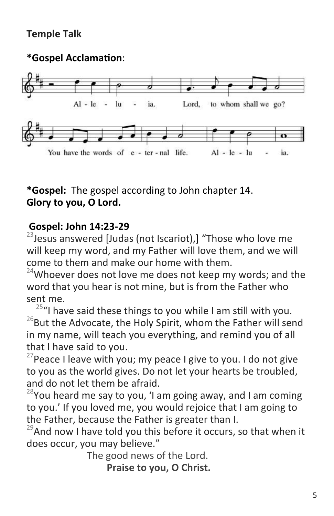# **Temple Talk**

### **\*Gospel Acclamation**:



# **\*Gospel:** The gospel according to John chapter 14. **Glory to you, O Lord.**

#### **Gospel: John 14:23-29**

 $23$ Jesus answered [Judas (not Iscariot),] "Those who love me will keep my word, and my Father will love them, and we will come to them and make our home with them.

 $24$ Whoever does not love me does not keep my words; and the word that you hear is not mine, but is from the Father who sent me.

 $25$ "I have said these things to you while I am still with you.  $^{26}$ But the Advocate, the Holy Spirit, whom the Father will send in my name, will teach you everything, and remind you of all that I have said to you.

<sup>27</sup> Peace I leave with you; my peace I give to you. I do not give to you as the world gives. Do not let your hearts be troubled, and do not let them be afraid.

 $^{28}$ You heard me say to you, 'I am going away, and I am coming to you.' If you loved me, you would rejoice that I am going to the Father, because the Father is greater than I.

 $29$ And now I have told you this before it occurs, so that when it does occur, you may believe."

The good news of the Lord.

 **Praise to you, O Christ.**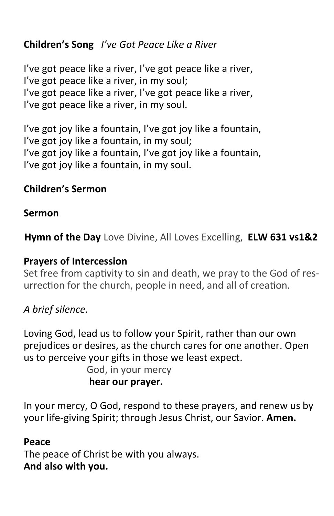# **Children's Song** *I've Got Peace Like a River*

I've got peace like a river, I've got peace like a river, I've got peace like a river, in my soul; I've got peace like a river, I've got peace like a river, I've got peace like a river, in my soul.

I've got joy like a fountain, I've got joy like a fountain, I've got joy like a fountain, in my soul; I've got joy like a fountain, I've got joy like a fountain, I've got joy like a fountain, in my soul.

# **Children's Sermon**

#### **Sermon**

**Hymn of the Day** Love Divine, All Loves Excelling, **ELW 631 vs1&2**

#### **Prayers of Intercession**

Set free from captivity to sin and death, we pray to the God of resurrection for the church, people in need, and all of creation.

# *A brief silence.*

Loving God, lead us to follow your Spirit, rather than our own prejudices or desires, as the church cares for one another. Open us to perceive your gifts in those we least expect.

> God, in your mercy **hear our prayer.**

In your mercy, O God, respond to these prayers, and renew us by your life-giving Spirit; through Jesus Christ, our Savior. **Amen.**

#### **Peace**

The peace of Christ be with you always. **And also with you.**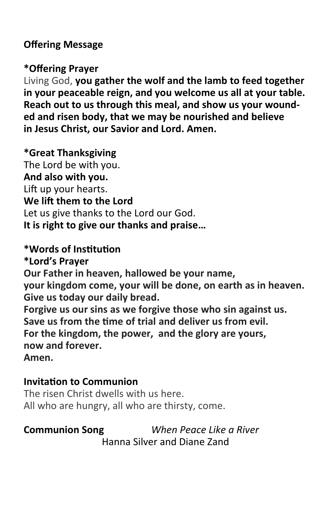#### **Offering Message**

#### **\*Offering Prayer**

Living God, **you gather the wolf and the lamb to feed together in your peaceable reign, and you welcome us all at your table. Reach out to us through this meal, and show us your wounded and risen body, that we may be nourished and believe in Jesus Christ, our Savior and Lord. Amen.**

#### **\*Great Thanksgiving**

The Lord be with you. **And also with you.** Lift up your hearts. **We lift them to the Lord** Let us give thanks to the Lord our God. **It is right to give our thanks and praise…** 

#### **\*Words of Institution**

**\*Lord's Prayer**

**Our Father in heaven, hallowed be your name, your kingdom come, your will be done, on earth as in heaven. Give us today our daily bread.** 

**Forgive us our sins as we forgive those who sin against us. Save us from the time of trial and deliver us from evil. For the kingdom, the power, and the glory are yours, now and forever. Amen.** 

#### **Invitation to Communion**

The risen Christ dwells with us here. All who are hungry, all who are thirsty, come.

**Communion Song** *When Peace Like a River*  Hanna Silver and Diane Zand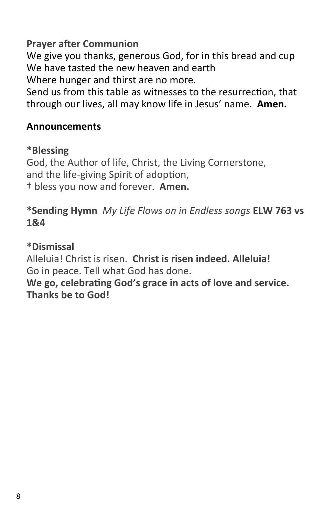**Prayer after Communion**

We give you thanks, generous God, for in this bread and cup We have tasted the new heaven and earth Where hunger and thirst are no more.

Send us from this table as witnesses to the resurrection, that through our lives, all may know life in Jesus' name. **Amen.**

#### **Announcements**

#### **\*Blessing**

God, the Author of life, Christ, the Living Cornerstone, and the life-giving Spirit of adoption, † bless you now and forever. **Amen.**

#### **\*Sending Hymn** *My Life Flows on in Endless songs* **ELW 763 vs 1&4**

#### **\*Dismissal**

Alleluia! Christ is risen. **Christ is risen indeed. Alleluia!** Go in peace. Tell what God has done.

**We go, celebrating God's grace in acts of love and service. Thanks be to God!**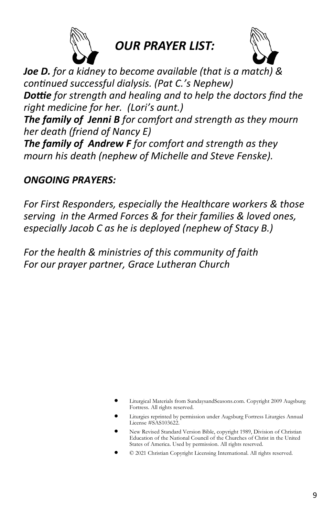

*OUR PRAYER LIST:*



*Joe D. for a kidney to become available (that is a match) & continued successful dialysis. (Pat C.'s Nephew) Dottie for strength and healing and to help the doctors find the right medicine for her. (Lori's aunt.) The family of Jenni B for comfort and strength as they mourn her death (friend of Nancy E)*

*The family of Andrew F for comfort and strength as they mourn his death (nephew of Michelle and Steve Fenske).*

#### *ONGOING PRAYERS:*

*For First Responders, especially the Healthcare workers & those serving in the Armed Forces & for their families & loved ones, especially Jacob C as he is deployed (nephew of Stacy B.)*

*For the health & ministries of this community of faith For our prayer partner, Grace Lutheran Church*

- Liturgical Materials from SundaysandSeasons.com. Copyright 2009 Augsburg Fortress. All rights reserved.
- Liturgies reprinted by permission under Augsburg Fortress Liturgies Annual License #SAS103622.
- New Revised Standard Version Bible, copyright 1989, Division of Christian Education of the National Council of the Churches of Christ in the United States of America. Used by permission. All rights reserved.
- © 2021 Christian Copyright Licensing International. All rights reserved.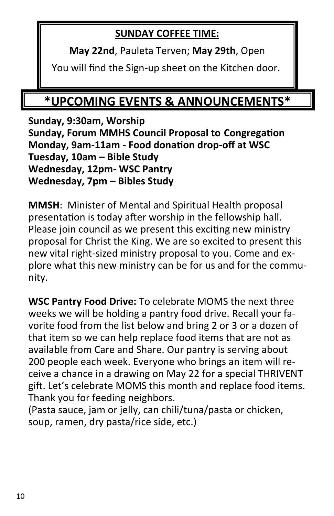# **SUNDAY COFFEE TIME:**

**May 22nd**, Pauleta Terven; **May 29th**, Open

You will find the Sign-up sheet on the Kitchen door.

# **\*UPCOMING EVENTS & ANNOUNCEMENTS\***

**Sunday, 9:30am, Worship Sunday, Forum MMHS Council Proposal to Congregation Monday, 9am-11am - Food donation drop-off at WSC Tuesday, 10am – Bible Study Wednesday, 12pm- WSC Pantry Wednesday, 7pm – Bibles Study**

**MMSH**: Minister of Mental and Spiritual Health proposal presentation is today after worship in the fellowship hall. Please join council as we present this exciting new ministry proposal for Christ the King. We are so excited to present this new vital right-sized ministry proposal to you. Come and explore what this new ministry can be for us and for the community.

**WSC Pantry Food Drive:** To celebrate MOMS the next three weeks we will be holding a pantry food drive. Recall your favorite food from the list below and bring 2 or 3 or a dozen of that item so we can help replace food items that are not as available from Care and Share. Our pantry is serving about 200 people each week. Everyone who brings an item will receive a chance in a drawing on May 22 for a special THRIVENT gift. Let's celebrate MOMS this month and replace food items. Thank you for feeding neighbors.

(Pasta sauce, jam or jelly, can chili/tuna/pasta or chicken, soup, ramen, dry pasta/rice side, etc.)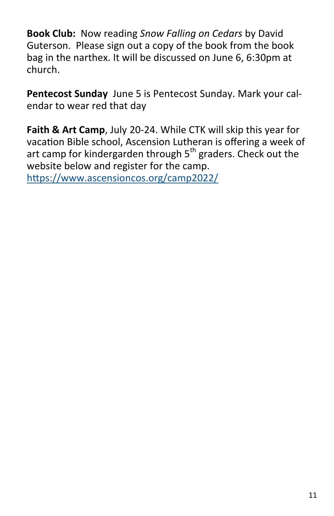**Book Club:** Now reading *Snow Falling on Cedars* by David Guterson. Please sign out a copy of the book from the book bag in the narthex. It will be discussed on June 6, 6:30pm at church.

**Pentecost Sunday** June 5 is Pentecost Sunday. Mark your calendar to wear red that day

**Faith & Art Camp**, July 20-24. While CTK will skip this year for vacation Bible school, Ascension Lutheran is offering a week of art camp for kindergarden through  $5<sup>th</sup>$  graders. Check out the website below and register for the camp. <https://www.ascensioncos.org/camp2022/>